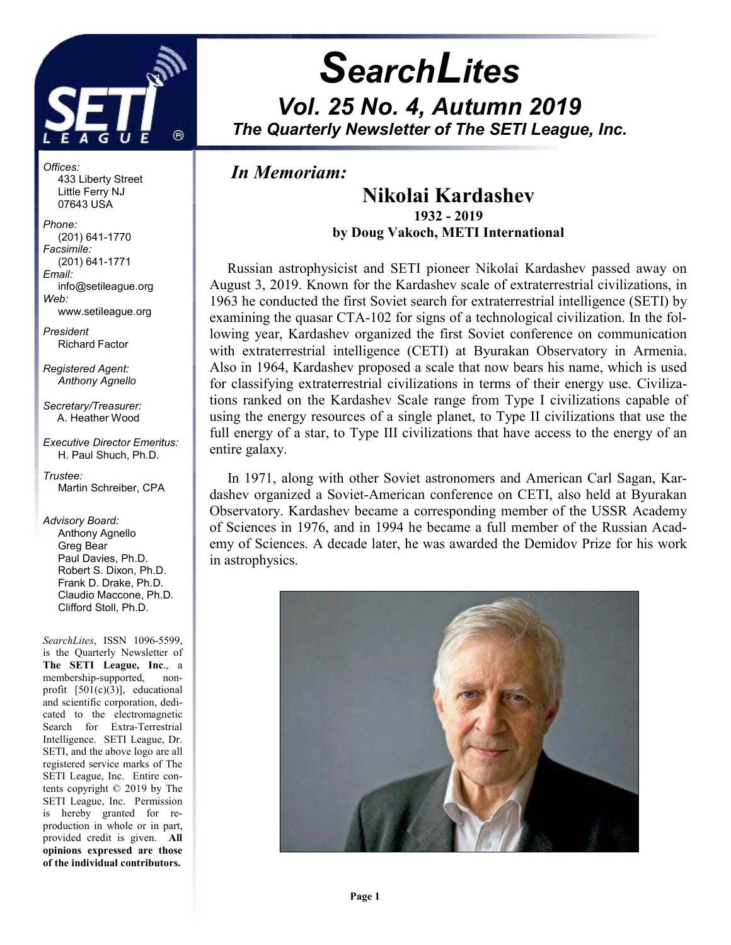

# **SearchLites** Vol. 25 No. 4, Autumn 2019 The Quarterly Newsletter of The SETI League, Inc.

## In Memoriam:

j

## Nikolai Kardashev 1932 - 2019 by Doug Vakoch, METI International

 Russian astrophysicist and SETI pioneer Nikolai Kardashev passed away on August 3, 2019. Known for the Kardashev scale of extraterrestrial civilizations, in 1963 he conducted the first Soviet search for extraterrestrial intelligence (SETI) by examining the quasar CTA-102 for signs of a technological civilization. In the following year, Kardashev organized the first Soviet conference on communication with extraterrestrial intelligence (CETI) at Byurakan Observatory in Armenia. Also in 1964, Kardashev proposed a scale that now bears his name, which is used for classifying extraterrestrial civilizations in terms of their energy use. Civilizations ranked on the Kardashev Scale range from Type I civilizations capable of using the energy resources of a single planet, to Type II civilizations that use the full energy of a star, to Type III civilizations that have access to the energy of an entire galaxy.

 In 1971, along with other Soviet astronomers and American Carl Sagan, Kardashev organized a Soviet-American conference on CETI, also held at Byurakan Observatory. Kardashev became a corresponding member of the USSR Academy of Sciences in 1976, and in 1994 he became a full member of the Russian Academy of Sciences. A decade later, he was awarded the Demidov Prize for his work in astrophysics.



Offices: 433 Liberty Street Little Ferry NJ 07643 USA

Phone: (201) 641-1770 Facsimile: (201) 641-1771 Email: info@setileague.org Web: www.setileague.org

President

Richard Factor

Registered Agent: Anthony Agnello

Secretary/Treasurer: A. Heather Wood

Executive Director Emeritus: H. Paul Shuch, Ph.D.

Trustee: Martin Schreiber, CPA

### Advisory Board:

 Anthony Agnello Greg Bear Paul Davies, Ph.D. Robert S. Dixon, Ph.D. Frank D. Drake, Ph.D. Claudio Maccone, Ph.D. Clifford Stoll, Ph.D.

SearchLites, ISSN 1096-5599, is the Quarterly Newsletter of The SETI League, Inc., a membership-supported, nonprofit [501(c)(3)], educational and scientific corporation, dedicated to the electromagnetic Search for Extra-Terrestrial Intelligence. SETI League, Dr. SETI, and the above logo are all registered service marks of The SETI League, Inc. Entire contents copyright © 2019 by The SETI League, Inc. Permission is hereby granted for reproduction in whole or in part, provided credit is given. All opinions expressed are those of the individual contributors.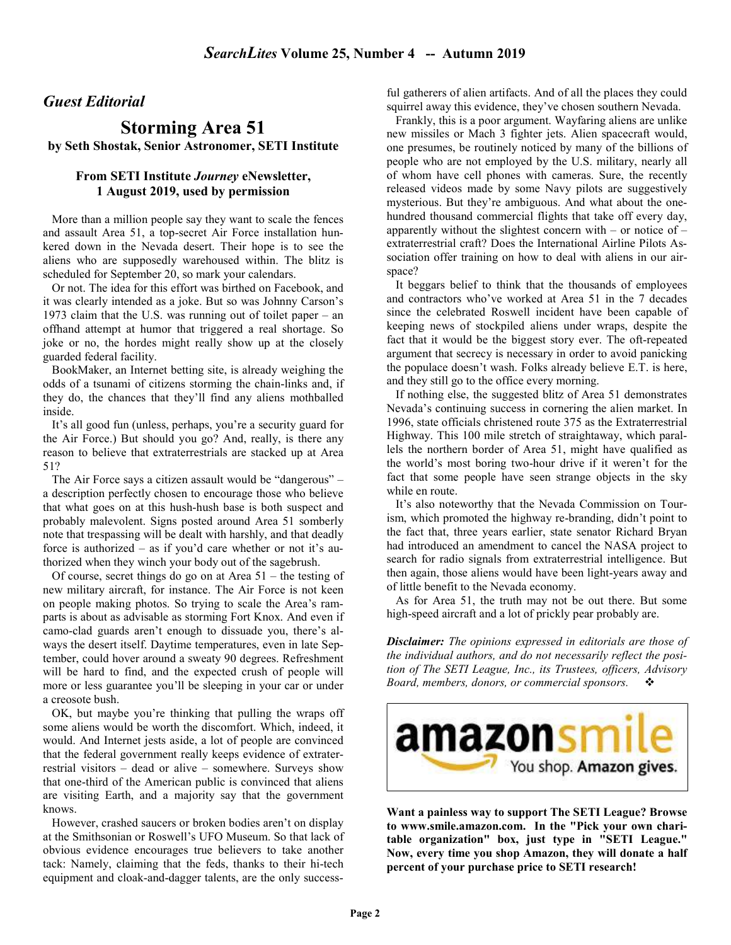### Guest Editorial

### Storming Area 51 by Seth Shostak, Senior Astronomer, SETI Institute

### From SETI Institute Journey eNewsletter, 1 August 2019, used by permission

 More than a million people say they want to scale the fences and assault Area 51, a top-secret Air Force installation hunkered down in the Nevada desert. Their hope is to see the aliens who are supposedly warehoused within. The blitz is scheduled for September 20, so mark your calendars.

 Or not. The idea for this effort was birthed on Facebook, and it was clearly intended as a joke. But so was Johnny Carson's 1973 claim that the U.S. was running out of toilet paper – an offhand attempt at humor that triggered a real shortage. So joke or no, the hordes might really show up at the closely guarded federal facility.

 BookMaker, an Internet betting site, is already weighing the odds of a tsunami of citizens storming the chain-links and, if they do, the chances that they'll find any aliens mothballed inside.

 It's all good fun (unless, perhaps, you're a security guard for the Air Force.) But should you go? And, really, is there any reason to believe that extraterrestrials are stacked up at Area 51?

 The Air Force says a citizen assault would be "dangerous" – a description perfectly chosen to encourage those who believe that what goes on at this hush-hush base is both suspect and probably malevolent. Signs posted around Area 51 somberly note that trespassing will be dealt with harshly, and that deadly force is authorized – as if you'd care whether or not it's authorized when they winch your body out of the sagebrush.

 Of course, secret things do go on at Area 51 – the testing of new military aircraft, for instance. The Air Force is not keen on people making photos. So trying to scale the Area's ramparts is about as advisable as storming Fort Knox. And even if camo-clad guards aren't enough to dissuade you, there's always the desert itself. Daytime temperatures, even in late September, could hover around a sweaty 90 degrees. Refreshment will be hard to find, and the expected crush of people will more or less guarantee you'll be sleeping in your car or under a creosote bush.

 OK, but maybe you're thinking that pulling the wraps off some aliens would be worth the discomfort. Which, indeed, it would. And Internet jests aside, a lot of people are convinced that the federal government really keeps evidence of extraterrestrial visitors – dead or alive – somewhere. Surveys show that one-third of the American public is convinced that aliens are visiting Earth, and a majority say that the government knows.

 However, crashed saucers or broken bodies aren't on display at the Smithsonian or Roswell's UFO Museum. So that lack of obvious evidence encourages true believers to take another tack: Namely, claiming that the feds, thanks to their hi-tech equipment and cloak-and-dagger talents, are the only successful gatherers of alien artifacts. And of all the places they could squirrel away this evidence, they've chosen southern Nevada.

 Frankly, this is a poor argument. Wayfaring aliens are unlike new missiles or Mach 3 fighter jets. Alien spacecraft would, one presumes, be routinely noticed by many of the billions of people who are not employed by the U.S. military, nearly all of whom have cell phones with cameras. Sure, the recently released videos made by some Navy pilots are suggestively mysterious. But they're ambiguous. And what about the onehundred thousand commercial flights that take off every day, apparently without the slightest concern with – or notice of – extraterrestrial craft? Does the International Airline Pilots Association offer training on how to deal with aliens in our airspace?

 It beggars belief to think that the thousands of employees and contractors who've worked at Area 51 in the 7 decades since the celebrated Roswell incident have been capable of keeping news of stockpiled aliens under wraps, despite the fact that it would be the biggest story ever. The oft-repeated argument that secrecy is necessary in order to avoid panicking the populace doesn't wash. Folks already believe E.T. is here, and they still go to the office every morning.

 If nothing else, the suggested blitz of Area 51 demonstrates Nevada's continuing success in cornering the alien market. In 1996, state officials christened route 375 as the Extraterrestrial Highway. This 100 mile stretch of straightaway, which parallels the northern border of Area 51, might have qualified as the world's most boring two-hour drive if it weren't for the fact that some people have seen strange objects in the sky while en route.

 It's also noteworthy that the Nevada Commission on Tourism, which promoted the highway re-branding, didn't point to the fact that, three years earlier, state senator Richard Bryan had introduced an amendment to cancel the NASA project to search for radio signals from extraterrestrial intelligence. But then again, those aliens would have been light-years away and of little benefit to the Nevada economy.

 As for Area 51, the truth may not be out there. But some high-speed aircraft and a lot of prickly pear probably are.

**Disclaimer:** The opinions expressed in editorials are those of the individual authors, and do not necessarily reflect the position of The SETI League, Inc., its Trustees, officers, Advisory Board, members, donors, or commercial sponsors.  $\cdot \cdot \cdot$ 



Want a painless way to support The SETI League? Browse to www.smile.amazon.com. In the "Pick your own charitable organization" box, just type in "SETI League." Now, every time you shop Amazon, they will donate a half percent of your purchase price to SETI research!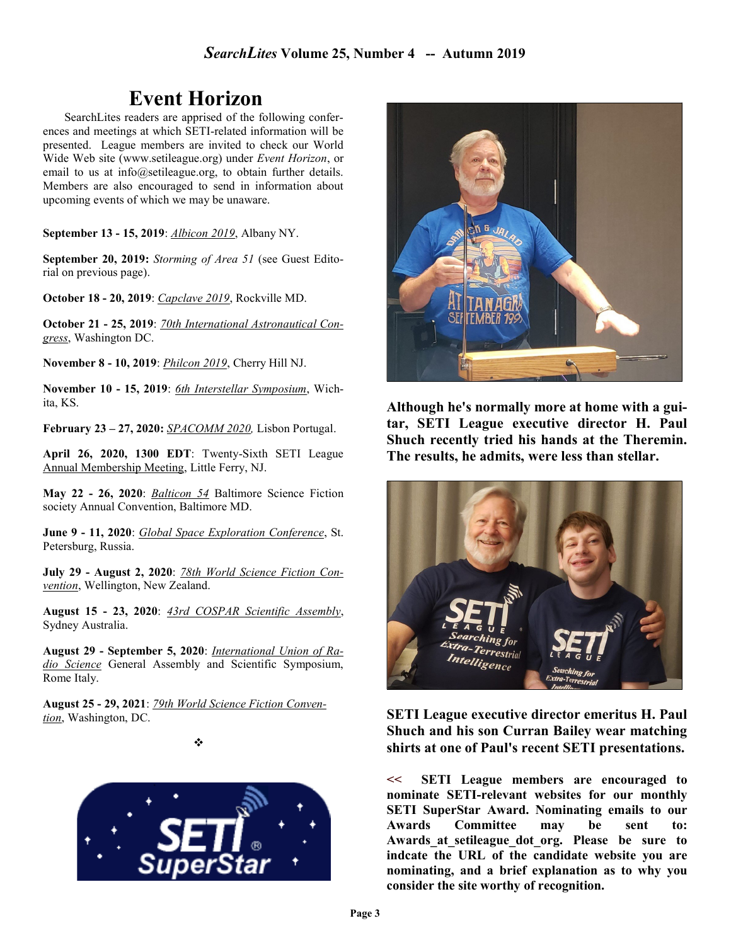## Event Horizon

SearchLites readers are apprised of the following conferences and meetings at which SETI-related information will be presented. League members are invited to check our World Wide Web site (www.setileague.org) under Event Horizon, or email to us at info@setileague.org, to obtain further details. Members are also encouraged to send in information about upcoming events of which we may be unaware.

September 13 - 15, 2019: Albicon 2019, Albany NY.

September 20, 2019: Storming of Area 51 (see Guest Editorial on previous page).

October 18 - 20, 2019: Capclave 2019, Rockville MD.

October 21 - 25, 2019: 70th International Astronautical Congress, Washington DC.

November 8 - 10, 2019: Philcon 2019, Cherry Hill NJ.

November 10 - 15, 2019: 6th Interstellar Symposium, Wichita, KS.

February 23 – 27, 2020: SPACOMM 2020, Lisbon Portugal.

April 26, 2020, 1300 EDT: Twenty-Sixth SETI League Annual Membership Meeting, Little Ferry, NJ.

May 22 - 26, 2020: Balticon 54 Baltimore Science Fiction society Annual Convention, Baltimore MD.

June 9 - 11, 2020: Global Space Exploration Conference, St. Petersburg, Russia.

July 29 - August 2, 2020: 78th World Science Fiction Convention, Wellington, New Zealand.

August 15 - 23, 2020: 43rd COSPAR Scientific Assembly, Sydney Australia.

August 29 - September 5, 2020: International Union of Radio Science General Assembly and Scientific Symposium, Rome Italy.

August 25 - 29, 2021: 79th World Science Fiction Convention, Washington, DC.

❖





Although he's normally more at home with a guitar, SETI League executive director H. Paul Shuch recently tried his hands at the Theremin. The results, he admits, were less than stellar.



SETI League executive director emeritus H. Paul Shuch and his son Curran Bailey wear matching shirts at one of Paul's recent SETI presentations.

<< SETI League members are encouraged to nominate SETI-relevant websites for our monthly SETI SuperStar Award. Nominating emails to our Awards Committee may be sent to: Awards at setileague dot org. Please be sure to indcate the URL of the candidate website you are nominating, and a brief explanation as to why you consider the site worthy of recognition.